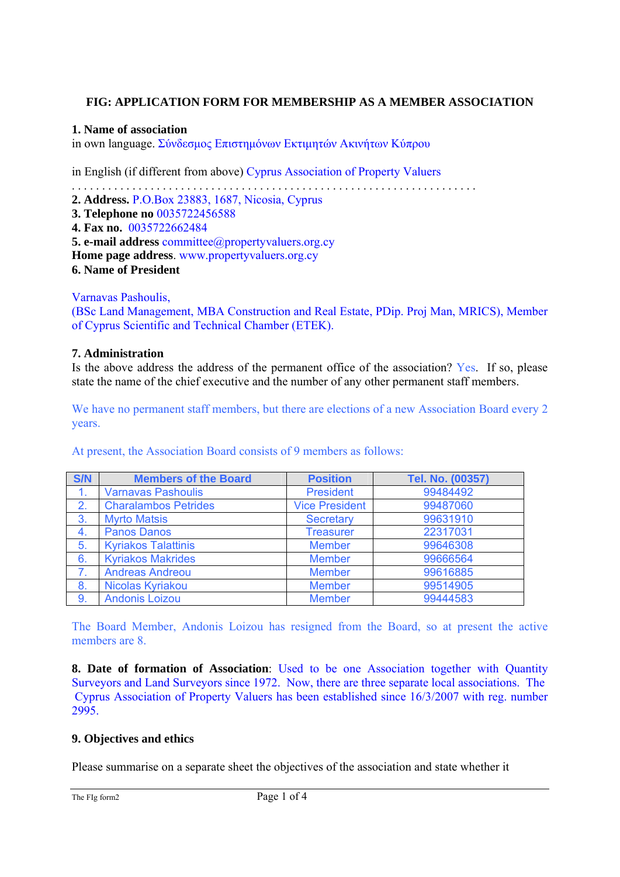## **FIG: APPLICATION FORM FOR MEMBERSHIP AS A MEMBER ASSOCIATION**

#### **1. Name of association**

in own language. Σύνδεσμος Επιστημόνων Εκτιμητών Ακινήτων Κύπρου

in English (if different from above) Cyprus Association of Property Valuers

. . . . . . . . . . . . . . . . . . . . . . . . . . . . . . . . . . . . . . . . . . . . . . . . . . . . . . . . . . . . . . . . . . . **2. Address.** P.O.Box 23883, 1687, Nicosia, Cyprus **3. Telephone no** 0035722456588 **4. Fax no.** 0035722662484 **5. e-mail address committee**@propertyvaluers.org.cy **Home page address**. www.propertyvaluers.org.cy **6. Name of President** 

Varnavas Pashoulis,

(BSc Land Management, MBA Construction and Real Estate, PDip. Proj Man, MRICS), Member of Cyprus Scientific and Technical Chamber (ETEK).

#### **7. Administration**

Is the above address the address of the permanent office of the association? Yes. If so, please state the name of the chief executive and the number of any other permanent staff members.

We have no permanent staff members, but there are elections of a new Association Board every 2 years.

At present, the Association Board consists of 9 members as follows:

| S/N | <b>Members of the Board</b> | <b>Position</b>       | Tel. No. (00357) |
|-----|-----------------------------|-----------------------|------------------|
| 1.  | <b>Varnavas Pashoulis</b>   | <b>President</b>      | 99484492         |
| 2.  | <b>Charalambos Petrides</b> | <b>Vice President</b> | 99487060         |
| 3.  | <b>Myrto Matsis</b>         | <b>Secretary</b>      | 99631910         |
| 4.  | <b>Panos Danos</b>          | <b>Treasurer</b>      | 22317031         |
| 5.  | <b>Kyriakos Talattinis</b>  | <b>Member</b>         | 99646308         |
| 6.  | <b>Kyriakos Makrides</b>    | <b>Member</b>         | 99666564         |
| 7.  | <b>Andreas Andreou</b>      | <b>Member</b>         | 99616885         |
| 8.  | Nicolas Kyriakou            | <b>Member</b>         | 99514905         |
| 9.  | <b>Andonis Loizou</b>       | <b>Member</b>         | 99444583         |

The Board Member, Andonis Loizou has resigned from the Board, so at present the active members are 8

**8. Date of formation of Association**: Used to be one Association together with Quantity Surveyors and Land Surveyors since 1972. Now, there are three separate local associations. The Cyprus Association of Property Valuers has been established since 16/3/2007 with reg. number 2995.

#### **9. Objectives and ethics**

Please summarise on a separate sheet the objectives of the association and state whether it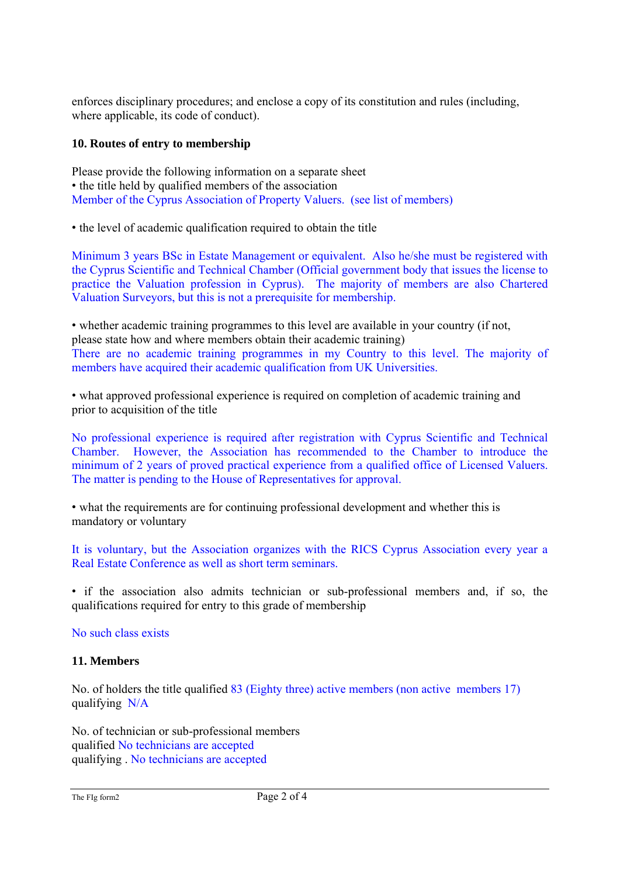enforces disciplinary procedures; and enclose a copy of its constitution and rules (including, where applicable, its code of conduct).

### **10. Routes of entry to membership**

Please provide the following information on a separate sheet • the title held by qualified members of the association Member of the Cyprus Association of Property Valuers. (see list of members)

• the level of academic qualification required to obtain the title

Minimum 3 years BSc in Estate Management or equivalent. Also he/she must be registered with the Cyprus Scientific and Technical Chamber (Official government body that issues the license to practice the Valuation profession in Cyprus). The majority of members are also Chartered Valuation Surveyors, but this is not a prerequisite for membership.

• whether academic training programmes to this level are available in your country (if not, please state how and where members obtain their academic training) There are no academic training programmes in my Country to this level. The majority of members have acquired their academic qualification from UK Universities.

• what approved professional experience is required on completion of academic training and prior to acquisition of the title

No professional experience is required after registration with Cyprus Scientific and Technical Chamber. However, the Association has recommended to the Chamber to introduce the minimum of 2 years of proved practical experience from a qualified office of Licensed Valuers. The matter is pending to the House of Representatives for approval.

• what the requirements are for continuing professional development and whether this is mandatory or voluntary

It is voluntary, but the Association organizes with the RICS Cyprus Association every year a Real Estate Conference as well as short term seminars.

• if the association also admits technician or sub-professional members and, if so, the qualifications required for entry to this grade of membership

No such class exists

# **11. Members**

No. of holders the title qualified 83 (Eighty three) active members (non active members 17) qualifying N/A

No. of technician or sub-professional members qualified No technicians are accepted qualifying . No technicians are accepted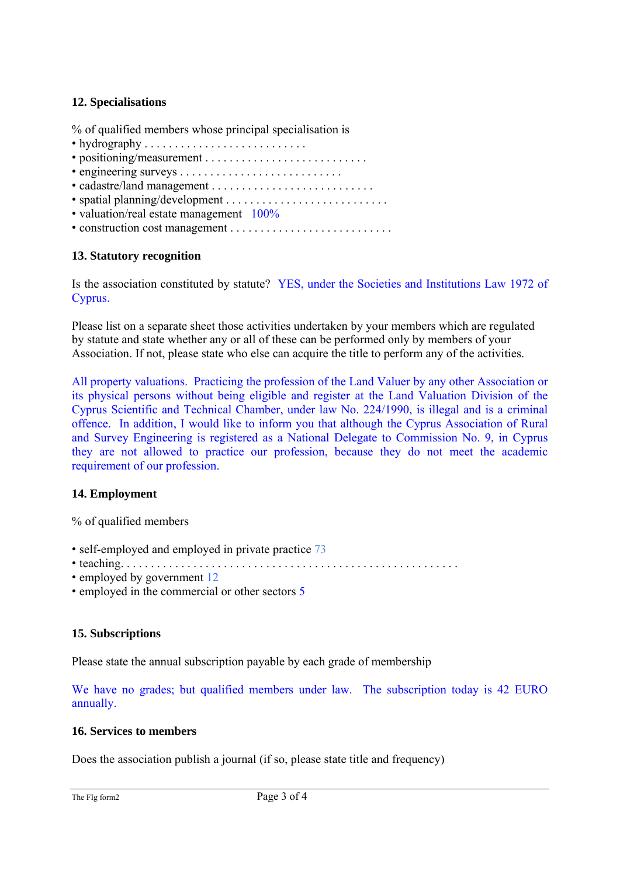### **12. Specialisations**

% of qualified members whose principal specialisation is

- hydrography . . . . . . . . . . . . . . . . . . . . . . . . . . .
- positioning/measurement . . . . . . . . . . . . . . . . . . . . . . . . . . .
- engineering surveys . . . . . . . . . . . . . . . . . . . . . . . . . . .
- cadastre/land management . . . . . . . . . . . . . . . . . . . . . . . . . . .
- spatial planning/development . . . . . . . . . . . . . . . . . . . . . . . . . . .
- valuation/real estate management 100%
- construction cost management . . . . . . . . . . . . . . . . . . . . . . . . . . .

# **13. Statutory recognition**

Is the association constituted by statute? YES, under the Societies and Institutions Law 1972 of Cyprus.

Please list on a separate sheet those activities undertaken by your members which are regulated by statute and state whether any or all of these can be performed only by members of your Association. If not, please state who else can acquire the title to perform any of the activities.

All property valuations. Practicing the profession of the Land Valuer by any other Association or its physical persons without being eligible and register at the Land Valuation Division of the Cyprus Scientific and Technical Chamber, under law No. 224/1990, is illegal and is a criminal offence. In addition, I would like to inform you that although the Cyprus Association of Rural and Survey Engineering is registered as a National Delegate to Commission No. 9, in Cyprus they are not allowed to practice our profession, because they do not meet the academic requirement of our profession.

# **14. Employment**

% of qualified members

- self-employed and employed in private practice 73
- teaching. . . . . . . . . . . . . . . . . . . . . . . . . . . . . . . . . . . . . . . . . . . . . . . . . . . . . . . .
- employed by government 12
- employed in the commercial or other sectors 5

# **15. Subscriptions**

Please state the annual subscription payable by each grade of membership

We have no grades; but qualified members under law. The subscription today is 42 EURO annually.

#### **16. Services to members**

Does the association publish a journal (if so, please state title and frequency)